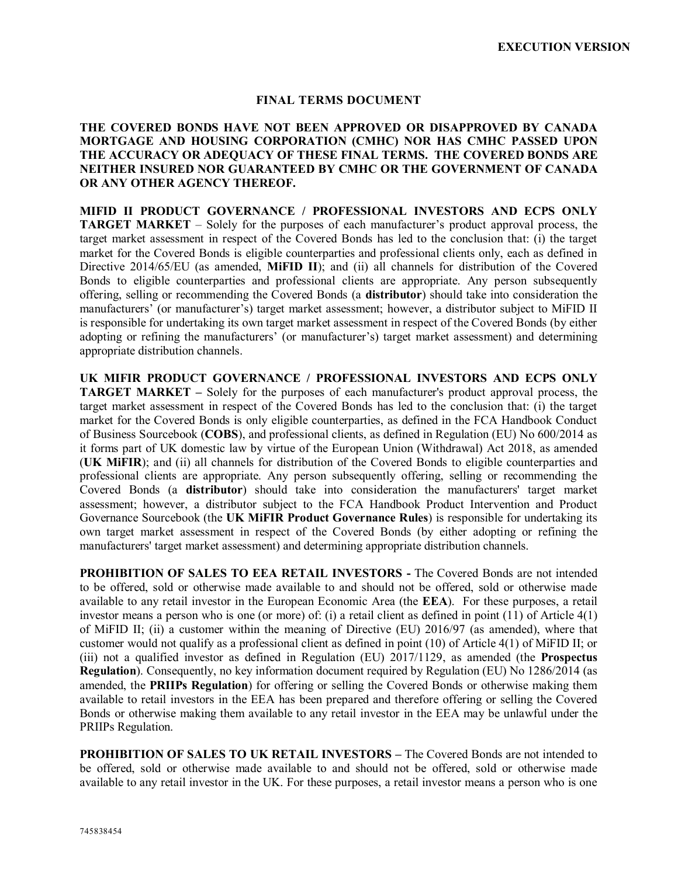# **FINAL TERMS DOCUMENT**

# **THE COVERED BONDS HAVE NOT BEEN APPROVED OR DISAPPROVED BY CANADA MORTGAGE AND HOUSING CORPORATION (CMHC) NOR HAS CMHC PASSED UPON THE ACCURACY OR ADEQUACY OF THESE FINAL TERMS. THE COVERED BONDS ARE NEITHER INSURED NOR GUARANTEED BY CMHC OR THE GOVERNMENT OF CANADA OR ANY OTHER AGENCY THEREOF.**

**MIFID II PRODUCT GOVERNANCE / PROFESSIONAL INVESTORS AND ECPS ONLY TARGET MARKET** – Solely for the purposes of each manufacturer's product approval process, the target market assessment in respect of the Covered Bonds has led to the conclusion that: (i) the target market for the Covered Bonds is eligible counterparties and professional clients only, each as defined in Directive 2014/65/EU (as amended, **MiFID II**); and (ii) all channels for distribution of the Covered Bonds to eligible counterparties and professional clients are appropriate. Any person subsequently offering, selling or recommending the Covered Bonds (a **distributor**) should take into consideration the manufacturers' (or manufacturer's) target market assessment; however, a distributor subject to MiFID II is responsible for undertaking its own target market assessment in respect of the Covered Bonds (by either adopting or refining the manufacturers' (or manufacturer's) target market assessment) and determining appropriate distribution channels.

**UK MIFIR PRODUCT GOVERNANCE / PROFESSIONAL INVESTORS AND ECPS ONLY TARGET MARKET –** Solely for the purposes of each manufacturer's product approval process, the target market assessment in respect of the Covered Bonds has led to the conclusion that: (i) the target market for the Covered Bonds is only eligible counterparties, as defined in the FCA Handbook Conduct of Business Sourcebook (**COBS**), and professional clients, as defined in Regulation (EU) No 600/2014 as it forms part of UK domestic law by virtue of the European Union (Withdrawal) Act 2018, as amended (**UK MiFIR**); and (ii) all channels for distribution of the Covered Bonds to eligible counterparties and professional clients are appropriate. Any person subsequently offering, selling or recommending the Covered Bonds (a **distributor**) should take into consideration the manufacturers' target market assessment; however, a distributor subject to the FCA Handbook Product Intervention and Product Governance Sourcebook (the **UK MiFIR Product Governance Rules**) is responsible for undertaking its own target market assessment in respect of the Covered Bonds (by either adopting or refining the manufacturers' target market assessment) and determining appropriate distribution channels.

**PROHIBITION OF SALES TO EEA RETAIL INVESTORS -** The Covered Bonds are not intended to be offered, sold or otherwise made available to and should not be offered, sold or otherwise made available to any retail investor in the European Economic Area (the **EEA**). For these purposes, a retail investor means a person who is one (or more) of: (i) a retail client as defined in point (11) of Article 4(1) of MiFID II; (ii) a customer within the meaning of Directive (EU) 2016/97 (as amended), where that customer would not qualify as a professional client as defined in point (10) of Article 4(1) of MiFID II; or (iii) not a qualified investor as defined in Regulation (EU) 2017/1129, as amended (the **Prospectus Regulation**). Consequently, no key information document required by Regulation (EU) No 1286/2014 (as amended, the **PRIIPs Regulation**) for offering or selling the Covered Bonds or otherwise making them available to retail investors in the EEA has been prepared and therefore offering or selling the Covered Bonds or otherwise making them available to any retail investor in the EEA may be unlawful under the PRIIPs Regulation.

**PROHIBITION OF SALES TO UK RETAIL INVESTORS –** The Covered Bonds are not intended to be offered, sold or otherwise made available to and should not be offered, sold or otherwise made available to any retail investor in the UK. For these purposes, a retail investor means a person who is one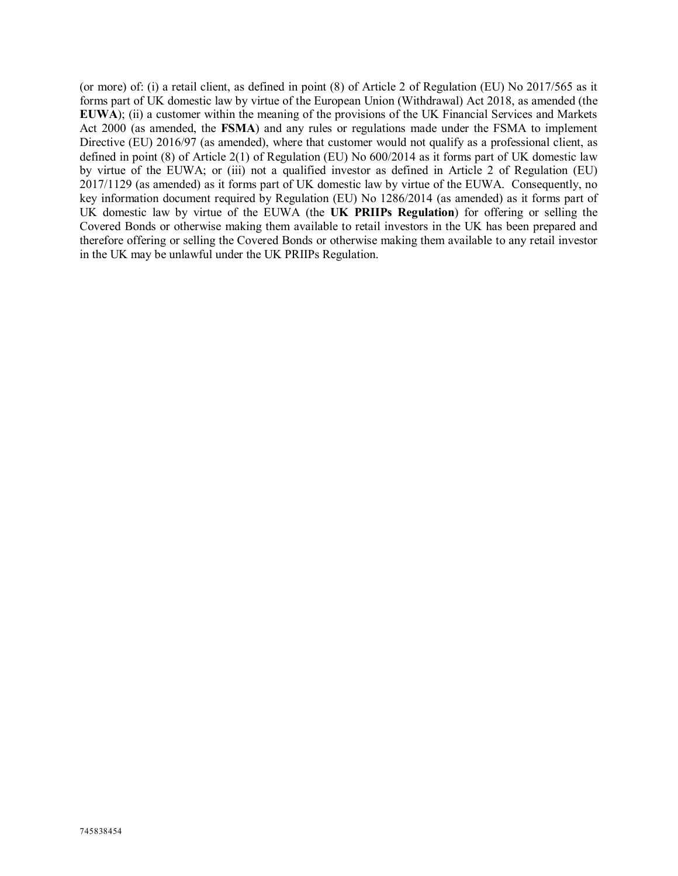(or more) of: (i) a retail client, as defined in point (8) of Article 2 of Regulation (EU) No 2017/565 as it forms part of UK domestic law by virtue of the European Union (Withdrawal) Act 2018, as amended (the **EUWA**); (ii) a customer within the meaning of the provisions of the UK Financial Services and Markets Act 2000 (as amended, the **FSMA**) and any rules or regulations made under the FSMA to implement Directive (EU) 2016/97 (as amended), where that customer would not qualify as a professional client, as defined in point (8) of Article 2(1) of Regulation (EU) No 600/2014 as it forms part of UK domestic law by virtue of the EUWA; or (iii) not a qualified investor as defined in Article 2 of Regulation (EU) 2017/1129 (as amended) as it forms part of UK domestic law by virtue of the EUWA. Consequently, no key information document required by Regulation (EU) No 1286/2014 (as amended) as it forms part of UK domestic law by virtue of the EUWA (the **UK PRIIPs Regulation**) for offering or selling the Covered Bonds or otherwise making them available to retail investors in the UK has been prepared and therefore offering or selling the Covered Bonds or otherwise making them available to any retail investor in the UK may be unlawful under the UK PRIIPs Regulation.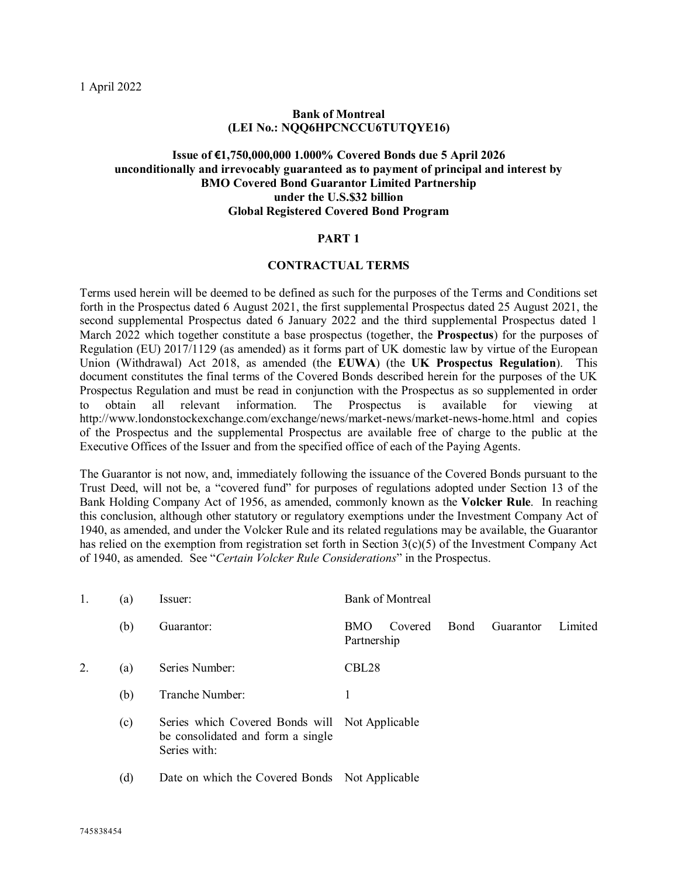# **Bank of Montreal (LEI No.: NQQ6HPCNCCU6TUTQYE16)**

# **Issue of €1,750,000,000 1.000% Covered Bonds due 5 April 2026 unconditionally and irrevocably guaranteed as to payment of principal and interest by BMO Covered Bond Guarantor Limited Partnership under the U.S.\$32 billion Global Registered Covered Bond Program**

#### **PART 1**

#### **CONTRACTUAL TERMS**

Terms used herein will be deemed to be defined as such for the purposes of the Terms and Conditions set forth in the Prospectus dated 6 August 2021, the first supplemental Prospectus dated 25 August 2021, the second supplemental Prospectus dated 6 January 2022 and the third supplemental Prospectus dated 1 March 2022 which together constitute a base prospectus (together, the **Prospectus**) for the purposes of Regulation (EU) 2017/1129 (as amended) as it forms part of UK domestic law by virtue of the European Union (Withdrawal) Act 2018, as amended (the **EUWA**) (the **UK Prospectus Regulation**). This document constitutes the final terms of the Covered Bonds described herein for the purposes of the UK Prospectus Regulation and must be read in conjunction with the Prospectus as so supplemented in order to obtain all relevant information. The Prospectus is available for viewing at http://www.londonstockexchange.com/exchange/news/market-news/market-news-home.html and copies of the Prospectus and the supplemental Prospectus are available free of charge to the public at the Executive Offices of the Issuer and from the specified office of each of the Paying Agents.

The Guarantor is not now, and, immediately following the issuance of the Covered Bonds pursuant to the Trust Deed, will not be, a "covered fund" for purposes of regulations adopted under Section 13 of the Bank Holding Company Act of 1956, as amended, commonly known as the **Volcker Rule**. In reaching this conclusion, although other statutory or regulatory exemptions under the Investment Company Act of 1940, as amended, and under the Volcker Rule and its related regulations may be available, the Guarantor has relied on the exemption from registration set forth in Section 3(c)(5) of the Investment Company Act of 1940, as amended. See "*Certain Volcker Rule Considerations*" in the Prospectus.

|                  | (a) | Issuer:                                                                                             | <b>Bank of Montreal</b>              |              |           |         |  |  |
|------------------|-----|-----------------------------------------------------------------------------------------------------|--------------------------------------|--------------|-----------|---------|--|--|
|                  | (b) | Guarantor:                                                                                          | Covered<br><b>BMO</b><br>Partnership | <b>B</b> ond | Guarantor | Limited |  |  |
| $\overline{2}$ . | (a) | Series Number:                                                                                      | CBL <sub>28</sub>                    |              |           |         |  |  |
|                  | (b) | Tranche Number:                                                                                     |                                      |              |           |         |  |  |
|                  | (c) | Series which Covered Bonds will Not Applicable<br>be consolidated and form a single<br>Series with: |                                      |              |           |         |  |  |
|                  | (d) | Date on which the Covered Bonds Not Applicable                                                      |                                      |              |           |         |  |  |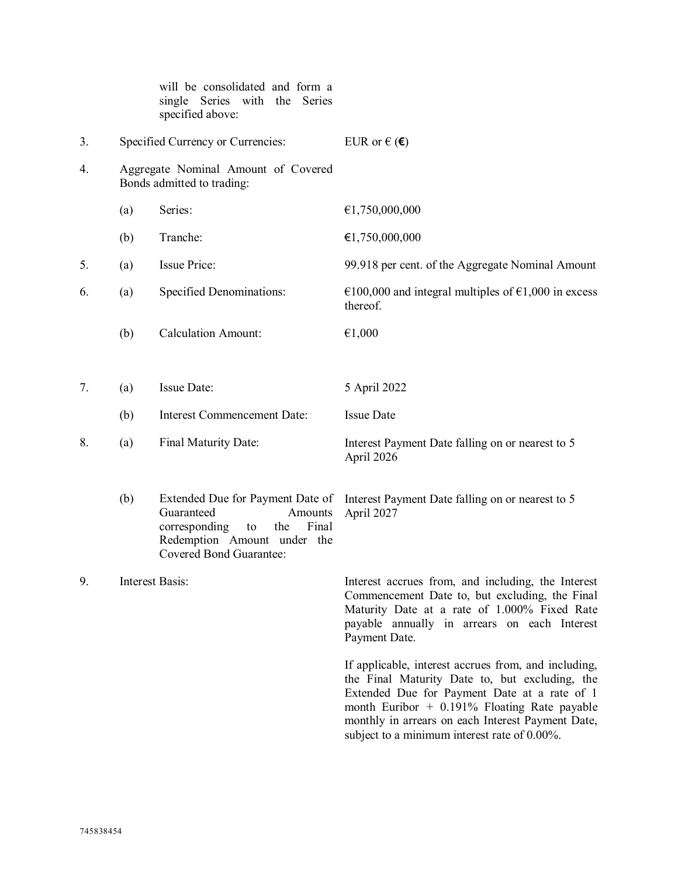|    |     | will be consolidated and form a<br>single Series with the Series<br>specified above:                                                                              |                                                                                                                                                                                                                                                                                                               |
|----|-----|-------------------------------------------------------------------------------------------------------------------------------------------------------------------|---------------------------------------------------------------------------------------------------------------------------------------------------------------------------------------------------------------------------------------------------------------------------------------------------------------|
| 3. |     | Specified Currency or Currencies:                                                                                                                                 | EUR or $\in$ ( $\in$ )                                                                                                                                                                                                                                                                                        |
| 4. |     | Aggregate Nominal Amount of Covered<br>Bonds admitted to trading:                                                                                                 |                                                                                                                                                                                                                                                                                                               |
|    | (a) | Series:                                                                                                                                                           | €1,750,000,000                                                                                                                                                                                                                                                                                                |
|    | (b) | Tranche:                                                                                                                                                          | €1,750,000,000                                                                                                                                                                                                                                                                                                |
| 5. | (a) | <b>Issue Price:</b>                                                                                                                                               | 99.918 per cent. of the Aggregate Nominal Amount                                                                                                                                                                                                                                                              |
| 6. | (a) | Specified Denominations:                                                                                                                                          | €100,000 and integral multiples of €1,000 in excess<br>thereof.                                                                                                                                                                                                                                               |
|    | (b) | <b>Calculation Amount:</b>                                                                                                                                        | €1,000                                                                                                                                                                                                                                                                                                        |
|    |     |                                                                                                                                                                   |                                                                                                                                                                                                                                                                                                               |
| 7. | (a) | <b>Issue Date:</b>                                                                                                                                                | 5 April 2022                                                                                                                                                                                                                                                                                                  |
|    | (b) | <b>Interest Commencement Date:</b>                                                                                                                                | <b>Issue Date</b>                                                                                                                                                                                                                                                                                             |
| 8. | (a) | Final Maturity Date:                                                                                                                                              | Interest Payment Date falling on or nearest to 5<br>April 2026                                                                                                                                                                                                                                                |
|    | (b) | Extended Due for Payment Date of<br>Guaranteed<br>Amounts<br>Final<br>corresponding<br>the<br>to<br>Redemption Amount under the<br><b>Covered Bond Guarantee:</b> | Interest Payment Date falling on or nearest to 5<br>April 2027                                                                                                                                                                                                                                                |
| 9. |     | Interest Basis:                                                                                                                                                   | Interest accrues from, and including, the Interest<br>Commencement Date to, but excluding, the Final<br>Maturity Date at a rate of 1.000% Fixed Rate<br>payable annually in arrears on each Interest<br>Payment Date.                                                                                         |
|    |     |                                                                                                                                                                   | If applicable, interest accrues from, and including,<br>the Final Maturity Date to, but excluding, the<br>Extended Due for Payment Date at a rate of 1<br>month Euribor $+$ 0.191% Floating Rate payable<br>monthly in arrears on each Interest Payment Date,<br>subject to a minimum interest rate of 0.00%. |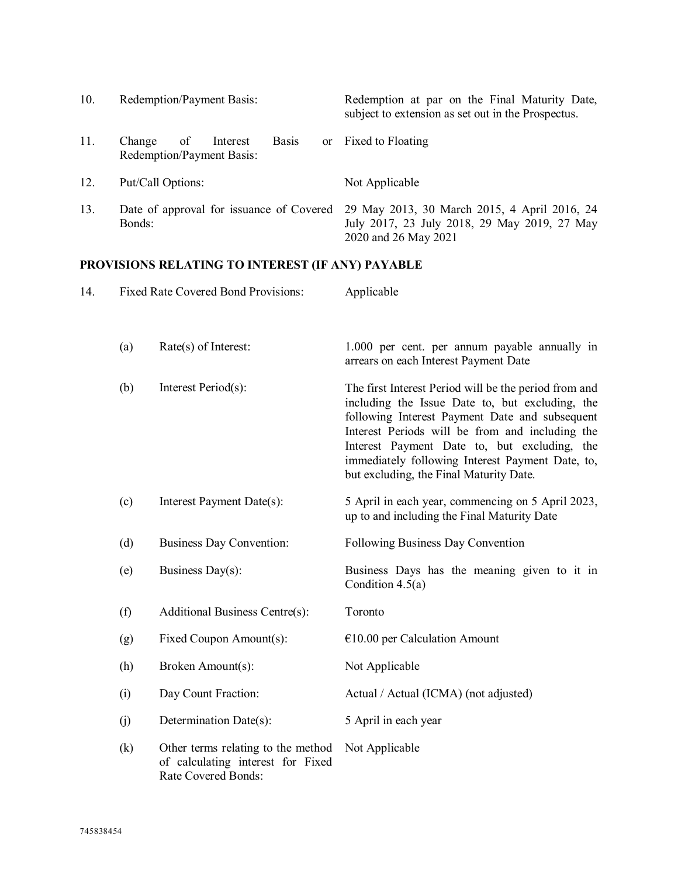| 10. | Redemption/Payment Basis:                                             | Redemption at par on the Final Maturity Date,<br>subject to extension as set out in the Prospectus.                  |
|-----|-----------------------------------------------------------------------|----------------------------------------------------------------------------------------------------------------------|
| 11. | <b>Basis</b><br>of<br>Change<br>Interest<br>Redemption/Payment Basis: | or Fixed to Floating                                                                                                 |
| 12. | Put/Call Options:                                                     | Not Applicable                                                                                                       |
| 13. | Date of approval for issuance of Covered<br>Bonds:                    | 29 May 2013, 30 March 2015, 4 April 2016, 24<br>July 2017, 23 July 2018, 29 May 2019, 27 May<br>2020 and 26 May 2021 |

# **PROVISIONS RELATING TO INTEREST (IF ANY) PAYABLE**

| 14. |     | <b>Fixed Rate Covered Bond Provisions:</b>                                                     | Applicable                                                                                                                                                                                                                                                                                                                                                   |  |  |  |
|-----|-----|------------------------------------------------------------------------------------------------|--------------------------------------------------------------------------------------------------------------------------------------------------------------------------------------------------------------------------------------------------------------------------------------------------------------------------------------------------------------|--|--|--|
|     | (a) | Rate(s) of Interest:                                                                           | 1.000 per cent. per annum payable annually in<br>arrears on each Interest Payment Date                                                                                                                                                                                                                                                                       |  |  |  |
|     | (b) | Interest Period(s):                                                                            | The first Interest Period will be the period from and<br>including the Issue Date to, but excluding, the<br>following Interest Payment Date and subsequent<br>Interest Periods will be from and including the<br>Interest Payment Date to, but excluding, the<br>immediately following Interest Payment Date, to,<br>but excluding, the Final Maturity Date. |  |  |  |
|     | (c) | Interest Payment Date(s):                                                                      | 5 April in each year, commencing on 5 April 2023,<br>up to and including the Final Maturity Date                                                                                                                                                                                                                                                             |  |  |  |
|     | (d) | <b>Business Day Convention:</b>                                                                | Following Business Day Convention                                                                                                                                                                                                                                                                                                                            |  |  |  |
|     | (e) | Business Day(s):                                                                               | Business Days has the meaning given to it in<br>Condition $4.5(a)$                                                                                                                                                                                                                                                                                           |  |  |  |
|     | (f) | Additional Business Centre(s):                                                                 | Toronto                                                                                                                                                                                                                                                                                                                                                      |  |  |  |
|     | (g) | Fixed Coupon Amount(s):                                                                        | $€10.00$ per Calculation Amount                                                                                                                                                                                                                                                                                                                              |  |  |  |
|     | (h) | Broken Amount(s):                                                                              | Not Applicable                                                                                                                                                                                                                                                                                                                                               |  |  |  |
|     | (i) | Day Count Fraction:                                                                            | Actual / Actual (ICMA) (not adjusted)                                                                                                                                                                                                                                                                                                                        |  |  |  |
|     | (j) | Determination Date(s):                                                                         | 5 April in each year                                                                                                                                                                                                                                                                                                                                         |  |  |  |
|     | (k) | Other terms relating to the method<br>of calculating interest for Fixed<br>Rate Covered Bonds: | Not Applicable                                                                                                                                                                                                                                                                                                                                               |  |  |  |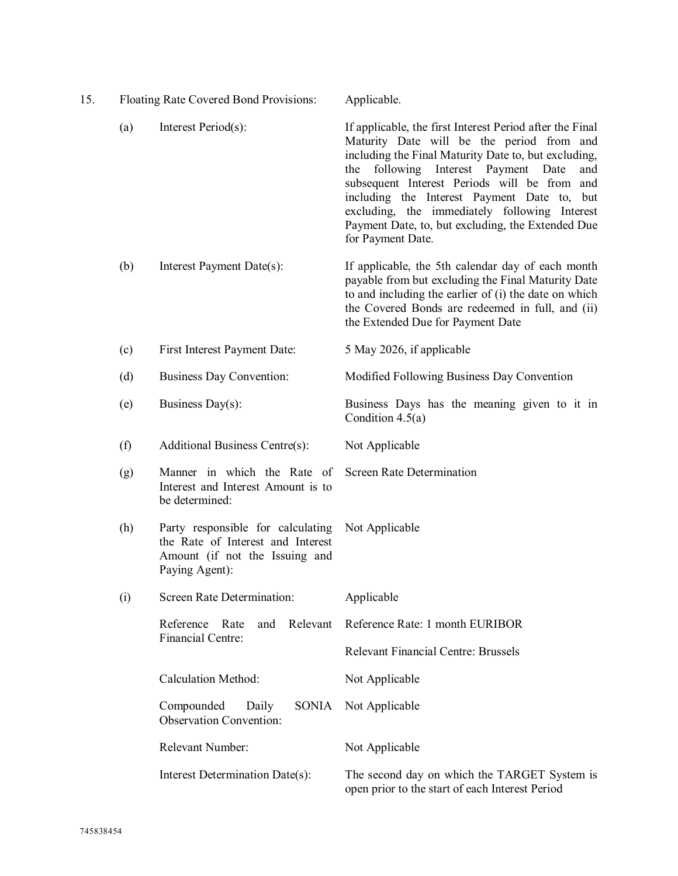| 15. |                                                                                                     | Floating Rate Covered Bond Provisions:                                                                                     | Applicable.                                                                                                                                                                                                                                                                                                                                                                                                                              |  |
|-----|-----------------------------------------------------------------------------------------------------|----------------------------------------------------------------------------------------------------------------------------|------------------------------------------------------------------------------------------------------------------------------------------------------------------------------------------------------------------------------------------------------------------------------------------------------------------------------------------------------------------------------------------------------------------------------------------|--|
|     | (a)                                                                                                 | Interest Period(s):                                                                                                        | If applicable, the first Interest Period after the Final<br>Maturity Date will be the period from and<br>including the Final Maturity Date to, but excluding,<br>following Interest Payment Date<br>the<br>and<br>subsequent Interest Periods will be from and<br>including the Interest Payment Date to, but<br>excluding, the immediately following Interest<br>Payment Date, to, but excluding, the Extended Due<br>for Payment Date. |  |
|     | (b)                                                                                                 | Interest Payment Date(s):                                                                                                  | If applicable, the 5th calendar day of each month<br>payable from but excluding the Final Maturity Date<br>to and including the earlier of (i) the date on which<br>the Covered Bonds are redeemed in full, and (ii)<br>the Extended Due for Payment Date                                                                                                                                                                                |  |
|     | (c)                                                                                                 | First Interest Payment Date:                                                                                               | 5 May 2026, if applicable                                                                                                                                                                                                                                                                                                                                                                                                                |  |
|     | (d)<br>Business Day Convention:<br>(e)<br>Business Day(s):<br>(f)<br>Additional Business Centre(s): |                                                                                                                            | Modified Following Business Day Convention                                                                                                                                                                                                                                                                                                                                                                                               |  |
|     |                                                                                                     |                                                                                                                            | Business Days has the meaning given to it in<br>Condition $4.5(a)$                                                                                                                                                                                                                                                                                                                                                                       |  |
|     |                                                                                                     |                                                                                                                            | Not Applicable                                                                                                                                                                                                                                                                                                                                                                                                                           |  |
|     | (g)                                                                                                 | Manner in which the Rate of<br>Interest and Interest Amount is to<br>be determined:                                        | <b>Screen Rate Determination</b>                                                                                                                                                                                                                                                                                                                                                                                                         |  |
|     | (h)                                                                                                 | Party responsible for calculating<br>the Rate of Interest and Interest<br>Amount (if not the Issuing and<br>Paying Agent): | Not Applicable                                                                                                                                                                                                                                                                                                                                                                                                                           |  |
|     | (i)                                                                                                 | Screen Rate Determination:                                                                                                 | Applicable                                                                                                                                                                                                                                                                                                                                                                                                                               |  |
|     |                                                                                                     | Reference<br>Relevant<br>Rate<br>and                                                                                       | Reference Rate: 1 month EURIBOR                                                                                                                                                                                                                                                                                                                                                                                                          |  |
|     |                                                                                                     | <b>Financial Centre:</b>                                                                                                   | <b>Relevant Financial Centre: Brussels</b>                                                                                                                                                                                                                                                                                                                                                                                               |  |
|     |                                                                                                     | <b>Calculation Method:</b>                                                                                                 | Not Applicable                                                                                                                                                                                                                                                                                                                                                                                                                           |  |
|     |                                                                                                     | <b>SONIA</b><br>Compounded<br>Daily<br><b>Observation Convention:</b>                                                      | Not Applicable                                                                                                                                                                                                                                                                                                                                                                                                                           |  |
|     |                                                                                                     | Relevant Number:                                                                                                           | Not Applicable                                                                                                                                                                                                                                                                                                                                                                                                                           |  |
|     |                                                                                                     | Interest Determination Date(s):                                                                                            | The second day on which the TARGET System is<br>open prior to the start of each Interest Period                                                                                                                                                                                                                                                                                                                                          |  |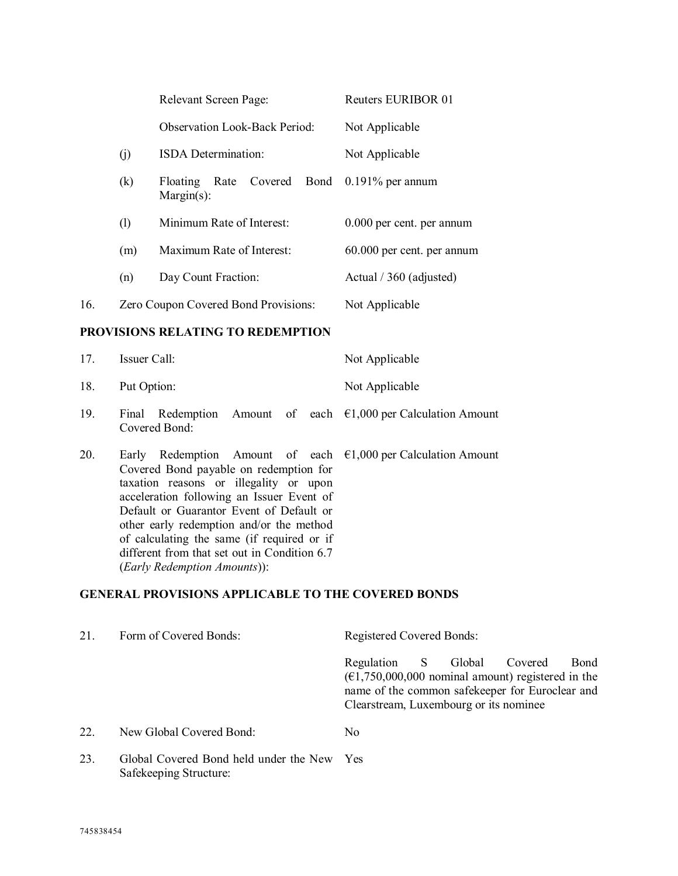|     |     | Relevant Screen Page:                                    | <b>Reuters EURIBOR 01</b>  |  |  |
|-----|-----|----------------------------------------------------------|----------------------------|--|--|
|     |     | <b>Observation Look-Back Period:</b>                     | Not Applicable             |  |  |
|     | (j) | <b>ISDA</b> Determination:                               | Not Applicable             |  |  |
|     | (k) | Rate Covered<br>Bond<br><b>Floating</b><br>$Margin(s)$ : | $0.191\%$ per annum        |  |  |
|     | (1) | Minimum Rate of Interest:                                | 0.000 per cent. per annum  |  |  |
|     | (m) | Maximum Rate of Interest:                                | 60.000 per cent. per annum |  |  |
|     | (n) | Day Count Fraction:                                      | Actual / 360 (adjusted)    |  |  |
| 16. |     | Zero Coupon Covered Bond Provisions:                     | Not Applicable             |  |  |

# **PROVISIONS RELATING TO REDEMPTION**

| 17.          | Issuer Call:  |  | Not Applicable |                                                                                                                                                                                                                                                                                                                                                               |  |
|--------------|---------------|--|----------------|---------------------------------------------------------------------------------------------------------------------------------------------------------------------------------------------------------------------------------------------------------------------------------------------------------------------------------------------------------------|--|
| 18.          | Put Option:   |  | Not Applicable |                                                                                                                                                                                                                                                                                                                                                               |  |
| 19.          | Covered Bond: |  |                | Final Redemption Amount of each $\epsilon$ 1,000 per Calculation Amount                                                                                                                                                                                                                                                                                       |  |
| $\mathbf{A}$ |               |  |                | $\Gamma$ 1 $\Gamma$ 1 $\Gamma$ 1 $\Gamma$ 1 $\Gamma$ 1 $\Gamma$ 1 $\Gamma$ 1 $\Gamma$ 1 $\Gamma$ 1 $\Gamma$ 1 $\Gamma$ 1 $\Gamma$ 1 $\Gamma$ 1 $\Gamma$ 1 $\Gamma$ 1 $\Gamma$ 1 $\Gamma$ 1 $\Gamma$ 1 $\Gamma$ 1 $\Gamma$ 1 $\Gamma$ 1 $\Gamma$ 1 $\Gamma$ 1 $\Gamma$ 1 $\Gamma$ 1 $\Gamma$ 1 $\Gamma$ 1 $\Gamma$ 1 $\Gamma$ 1 $\Gamma$ 1 $\Gamma$ 1 $\Gamma$ |  |

20. Early Redemption Amount of each  $\epsilon$ 1,000 per Calculation Amount Covered Bond payable on redemption for taxation reasons or illegality or upon acceleration following an Issuer Event of Default or Guarantor Event of Default or other early redemption and/or the method of calculating the same (if required or if different from that set out in Condition 6.7 (*Early Redemption Amounts*)):

# **GENERAL PROVISIONS APPLICABLE TO THE COVERED BONDS**

| 21.            | Form of Covered Bonds:                     | <b>Registered Covered Bonds:</b>                                                                                                                                                                                 |
|----------------|--------------------------------------------|------------------------------------------------------------------------------------------------------------------------------------------------------------------------------------------------------------------|
|                |                                            | Regulation S<br>Global<br>Covered<br>Bond<br>$(\text{\textsterling}1,750,000,000$ nominal amount) registered in the<br>name of the common safekeeper for Euroclear and<br>Clearstream, Luxembourg or its nominee |
| 22.            | New Global Covered Bond:                   | No                                                                                                                                                                                                               |
| 2 <sub>2</sub> | Global Covered Bond hold under the New Yes |                                                                                                                                                                                                                  |

23. Global Covered Bond held under the New YesSafekeeping Structure: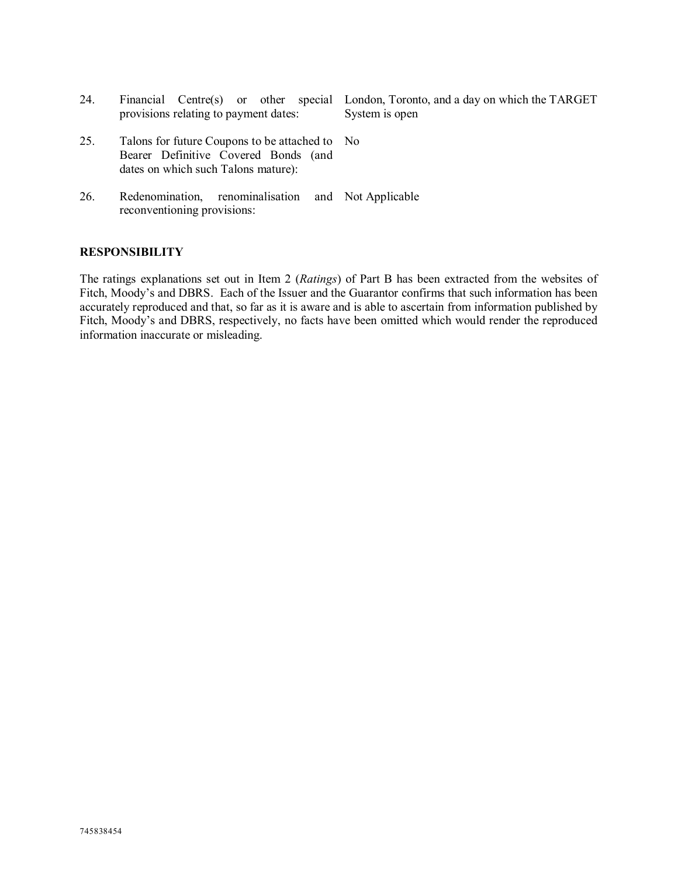| 24. | provisions relating to payment dates:                                                                                         | Financial Centre(s) or other special London, Toronto, and a day on which the TARGET<br>System is open |
|-----|-------------------------------------------------------------------------------------------------------------------------------|-------------------------------------------------------------------------------------------------------|
| 25. | Talons for future Coupons to be attached to No<br>Bearer Definitive Covered Bonds (and<br>dates on which such Talons mature): |                                                                                                       |
| 26. | renominalisation and Not Applicable<br>Redenomination,<br>reconventioning provisions:                                         |                                                                                                       |

#### **RESPONSIBILITY**

The ratings explanations set out in Item 2 (*Ratings*) of Part B has been extracted from the websites of Fitch, Moody's and DBRS. Each of the Issuer and the Guarantor confirms that such information has been accurately reproduced and that, so far as it is aware and is able to ascertain from information published by Fitch, Moody's and DBRS, respectively, no facts have been omitted which would render the reproduced information inaccurate or misleading.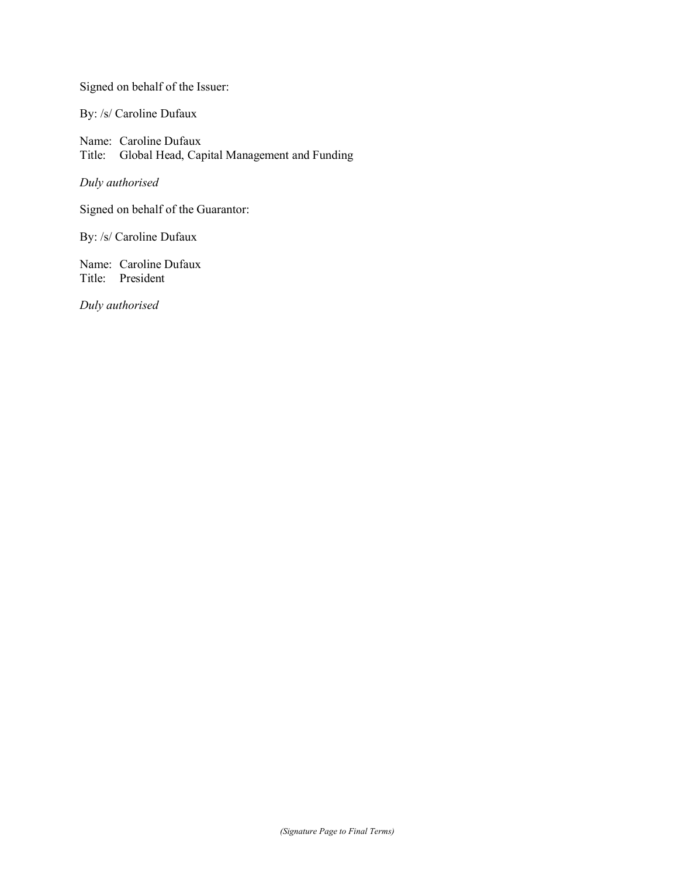Signed on behalf of the Issuer:

By: /s/ Caroline Dufaux

Name: Caroline Dufaux Title: Global Head, Capital Management and Funding

*Duly authorised*

Signed on behalf of the Guarantor:

By: /s/ Caroline Dufaux

Name: Caroline Dufaux Title: President

*Duly authorised*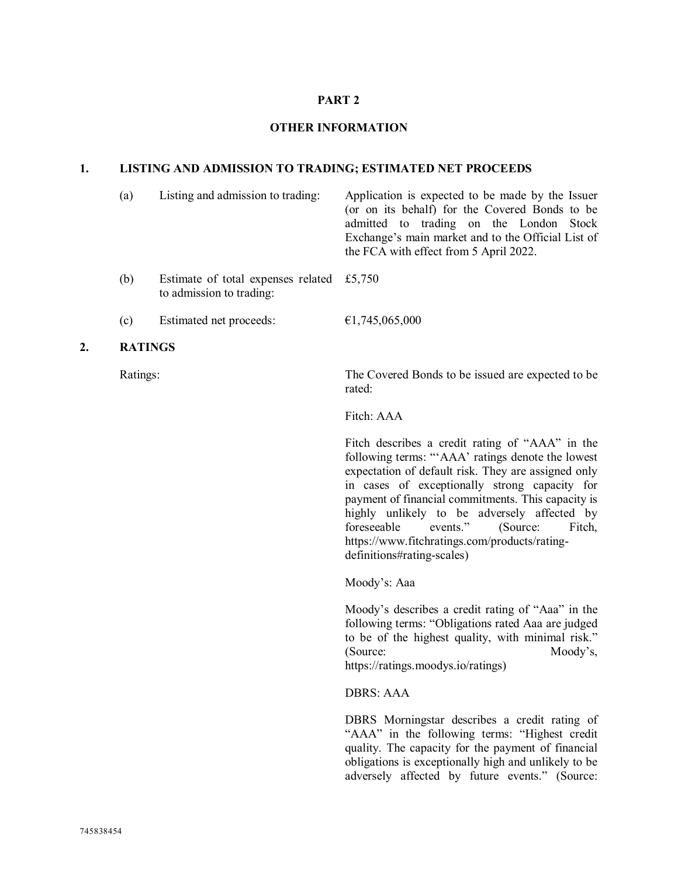# **PART 2**

### **OTHER INFORMATION**

#### **1. LISTING AND ADMISSION TO TRADING; ESTIMATED NET PROCEEDS**

- (a) Listing and admission to trading: Application is expected to be made by the Issuer (or on its behalf) for the Covered Bonds to be admitted to trading on the London Stock Exchange's main market and to the Official List of the FCA with effect from 5 April 2022. (b) Estimate of total expenses related £5,750 to admission to trading:
- (c) Estimated net proceeds:  $\epsilon$ 1,745,065,000

# **2. RATINGS**

Ratings: The Covered Bonds to be issued are expected to be rated:

Fitch: AAA

Fitch describes a credit rating of "AAA" in the following terms: "'AAA' ratings denote the lowest expectation of default risk. They are assigned only in cases of exceptionally strong capacity for payment of financial commitments. This capacity is highly unlikely to be adversely affected by foreseeable events." (Source: Fitch, https://www.fitchratings.com/products/ratingdefinitions#rating-scales)

Moody's: Aaa

Moody's describes a credit rating of "Aaa" in the following terms: "Obligations rated Aaa are judged to be of the highest quality, with minimal risk." (Source: Moody's, https://ratings.moodys.io/ratings)

DBRS: AAA

DBRS Morningstar describes a credit rating of "AAA" in the following terms: "Highest credit quality. The capacity for the payment of financial obligations is exceptionally high and unlikely to be adversely affected by future events." (Source: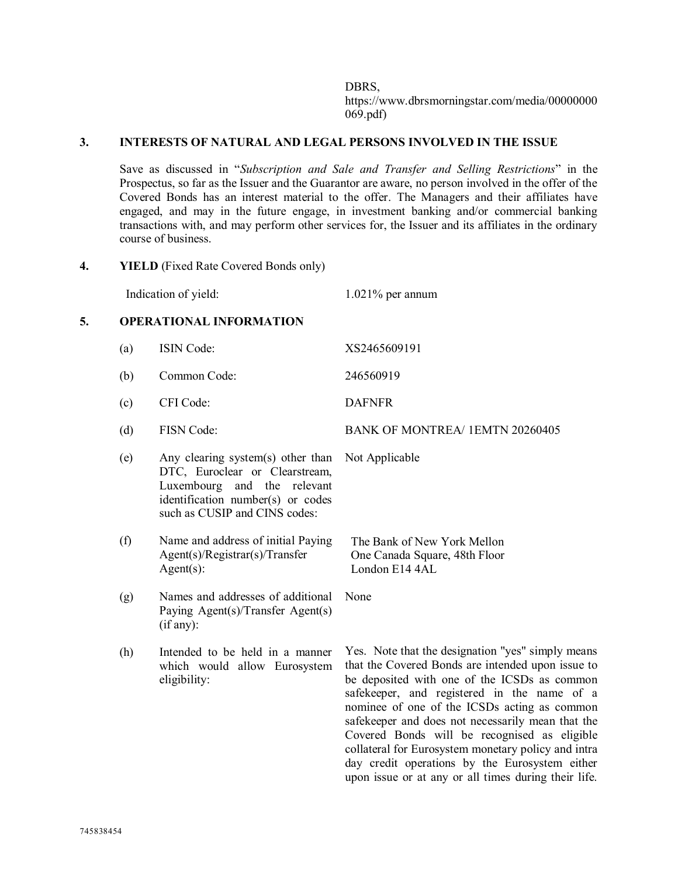DBRS, https://www.dbrsmorningstar.com/media/00000000 069.pdf)

#### **3. INTERESTS OF NATURAL AND LEGAL PERSONS INVOLVED IN THE ISSUE**

Save as discussed in "*Subscription and Sale and Transfer and Selling Restrictions*" in the Prospectus, so far as the Issuer and the Guarantor are aware, no person involved in the offer of the Covered Bonds has an interest material to the offer. The Managers and their affiliates have engaged, and may in the future engage, in investment banking and/or commercial banking transactions with, and may perform other services for, the Issuer and its affiliates in the ordinary course of business.

**4. YIELD** (Fixed Rate Covered Bonds only)

Indication of yield: 1.021% per annum

Not Applicable

#### **5. OPERATIONAL INFORMATION**

- (a) ISIN Code: XS2465609191 (b) Common Code: 246560919 (c) CFI Code: DAFNFR
- (d) FISN Code: BANK OF MONTREA/ 1EMTN 20260405

None

- (e) Any clearing system(s) other than DTC, Euroclear or Clearstream, Luxembourg and the relevant identification number(s) or codes such as CUSIP and CINS codes:
- (f) Name and address of initial Paying Agent(s)/Registrar(s)/Transfer Agent(s): The Bank of New York Mellon One Canada Square, 48th Floor London E14 4AL
- (g) Names and addresses of additional Paying Agent(s)/Transfer Agent(s) (if any):
- (h) Intended to be held in a manner which would allow Eurosystem eligibility:

Yes. Note that the designation "yes" simply means that the Covered Bonds are intended upon issue to be deposited with one of the ICSDs as common safekeeper, and registered in the name of a nominee of one of the ICSDs acting as common safekeeper and does not necessarily mean that the Covered Bonds will be recognised as eligible collateral for Eurosystem monetary policy and intra day credit operations by the Eurosystem either upon issue or at any or all times during their life.